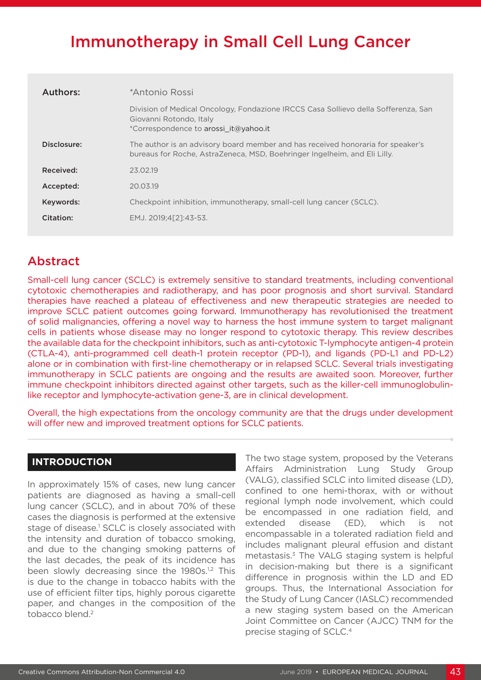# Immunotherapy in Small Cell Lung Cancer

| Authors:    | *Antonio Rossi                                                                                                                                               |
|-------------|--------------------------------------------------------------------------------------------------------------------------------------------------------------|
|             | Division of Medical Oncology, Fondazione IRCCS Casa Sollievo della Sofferenza, San<br>Giovanni Rotondo, Italy<br>*Correspondence to arossi it@yahoo.it       |
| Disclosure: | The author is an advisory board member and has received honoraria for speaker's<br>bureaus for Roche, AstraZeneca, MSD, Boehringer Ingelheim, and Eli Lilly. |
| Received:   | 23.02.19                                                                                                                                                     |
| Accepted:   | 20.03.19                                                                                                                                                     |
| Keywords:   | Checkpoint inhibition, immunotherapy, small-cell lung cancer (SCLC).                                                                                         |
| Citation:   | EMJ. 2019:4[21:43-53.                                                                                                                                        |

# Abstract

Small-cell lung cancer (SCLC) is extremely sensitive to standard treatments, including conventional cytotoxic chemotherapies and radiotherapy, and has poor prognosis and short survival. Standard therapies have reached a plateau of effectiveness and new therapeutic strategies are needed to improve SCLC patient outcomes going forward. Immunotherapy has revolutionised the treatment of solid malignancies, offering a novel way to harness the host immune system to target malignant cells in patients whose disease may no longer respond to cytotoxic therapy. This review describes the available data for the checkpoint inhibitors, such as anti-cytotoxic T-lymphocyte antigen-4 protein (CTLA-4), anti-programmed cell death-1 protein receptor (PD-1), and ligands (PD-L1 and PD-L2) alone or in combination with first-line chemotherapy or in relapsed SCLC. Several trials investigating immunotherapy in SCLC patients are ongoing and the results are awaited soon. Moreover, further immune checkpoint inhibitors directed against other targets, such as the killer-cell immunoglobulinlike receptor and lymphocyte-activation gene-3, are in clinical development.

Overall, the high expectations from the oncology community are that the drugs under development will offer new and improved treatment options for SCLC patients.

# **INTRODUCTION**

In approximately 15% of cases, new lung cancer patients are diagnosed as having a small-cell lung cancer (SCLC), and in about 70% of these cases the diagnosis is performed at the extensive stage of disease.<sup>1</sup> SCLC is closely associated with the intensity and duration of tobacco smoking, and due to the changing smoking patterns of the last decades, the peak of its incidence has been slowly decreasing since the 1980s.<sup>1,2</sup> This is due to the change in tobacco habits with the use of efficient filter tips, highly porous cigarette paper, and changes in the composition of the tobacco blend.2

The two stage system, proposed by the Veterans Affairs Administration Lung Study Group (VALG), classified SCLC into limited disease (LD), confined to one hemi-thorax, with or without regional lymph node involvement, which could be encompassed in one radiation field, and extended disease (ED), which is not encompassable in a tolerated radiation field and includes malignant pleural effusion and distant metastasis.3 The VALG staging system is helpful in decision-making but there is a significant difference in prognosis within the LD and ED groups. Thus, the International Association for the Study of Lung Cancer (IASLC) recommended a new staging system based on the American Joint Committee on Cancer (AJCC) TNM for the precise staging of SCLC.4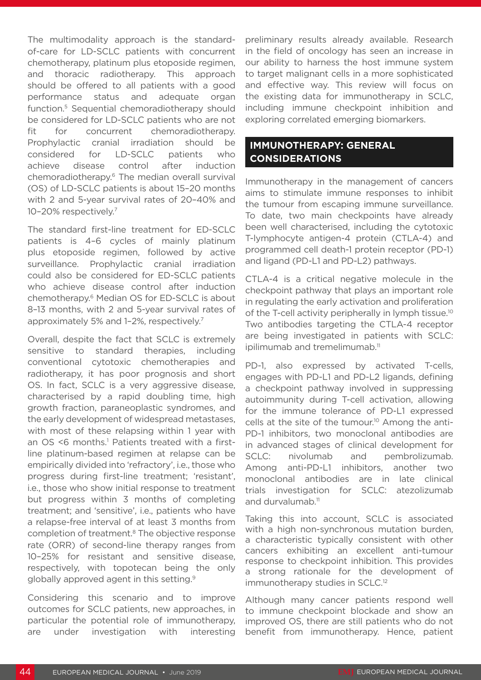The multimodality approach is the standardof-care for LD-SCLC patients with concurrent chemotherapy, platinum plus etoposide regimen, and thoracic radiotherapy. This approach should be offered to all patients with a good performance status and adequate organ function.5 Sequential chemoradiotherapy should be considered for LD-SCLC patients who are not fit for concurrent chemoradiotherapy. Prophylactic cranial irradiation should be considered for LD-SCLC patients who achieve disease control after induction chemoradiotherapy.6 The median overall survival (OS) of LD-SCLC patients is about 15–20 months with 2 and 5-year survival rates of 20–40% and 10–20% respectively.7

The standard first-line treatment for ED-SCLC patients is 4–6 cycles of mainly platinum plus etoposide regimen, followed by active surveillance. Prophylactic cranial irradiation could also be considered for ED-SCLC patients who achieve disease control after induction chemotherapy.6 Median OS for ED-SCLC is about 8–13 months, with 2 and 5-year survival rates of approximately 5% and 1–2%, respectively.7

Overall, despite the fact that SCLC is extremely sensitive to standard therapies, including conventional cytotoxic chemotherapies and radiotherapy, it has poor prognosis and short OS. In fact, SCLC is a very aggressive disease, characterised by a rapid doubling time, high growth fraction, paraneoplastic syndromes, and the early development of widespread metastases, with most of these relapsing within 1 year with an OS <6 months.<sup>1</sup> Patients treated with a firstline platinum-based regimen at relapse can be empirically divided into 'refractory', i.e., those who progress during first-line treatment; 'resistant', i.e., those who show initial response to treatment but progress within 3 months of completing treatment; and 'sensitive', i.e., patients who have a relapse-free interval of at least 3 months from completion of treatment.8 The objective response rate (ORR) of second-line therapy ranges from 10–25% for resistant and sensitive disease, respectively, with topotecan being the only globally approved agent in this setting.9

Considering this scenario and to improve outcomes for SCLC patients, new approaches, in particular the potential role of immunotherapy, are under investigation with interesting preliminary results already available. Research in the field of oncology has seen an increase in our ability to harness the host immune system to target malignant cells in a more sophisticated and effective way. This review will focus on the existing data for immunotherapy in SCLC, including immune checkpoint inhibition and exploring correlated emerging biomarkers.

# **IMMUNOTHERAPY: GENERAL CONSIDERATIONS**

Immunotherapy in the management of cancers aims to stimulate immune responses to inhibit the tumour from escaping immune surveillance. To date, two main checkpoints have already been well characterised, including the cytotoxic T-lymphocyte antigen-4 protein (CTLA-4) and programmed cell death-1 protein receptor (PD-1) and ligand (PD-L1 and PD-L2) pathways.

CTLA-4 is a critical negative molecule in the checkpoint pathway that plays an important role in regulating the early activation and proliferation of the T-cell activity peripherally in lymph tissue.<sup>10</sup> Two antibodies targeting the CTLA-4 receptor are being investigated in patients with SCLC: ipilimumab and tremelimumab.<sup>11</sup>

PD-1, also expressed by activated T-cells, engages with PD-L1 and PD-L2 ligands, defining a checkpoint pathway involved in suppressing autoimmunity during T-cell activation, allowing for the immune tolerance of PD-L1 expressed cells at the site of the tumour.10 Among the anti-PD-1 inhibitors, two monoclonal antibodies are in advanced stages of clinical development for SCLC: nivolumab and pembrolizumab. Among anti-PD-L1 inhibitors, another two monoclonal antibodies are in late clinical trials investigation for SCLC: atezolizumab and durvalumab.<sup>11</sup>

Taking this into account, SCLC is associated with a high non-synchronous mutation burden, a characteristic typically consistent with other cancers exhibiting an excellent anti-tumour response to checkpoint inhibition. This provides a strong rationale for the development of immunotherapy studies in SCLC.<sup>12</sup>

Although many cancer patients respond well to immune checkpoint blockade and show an improved OS, there are still patients who do not benefit from immunotherapy. Hence, patient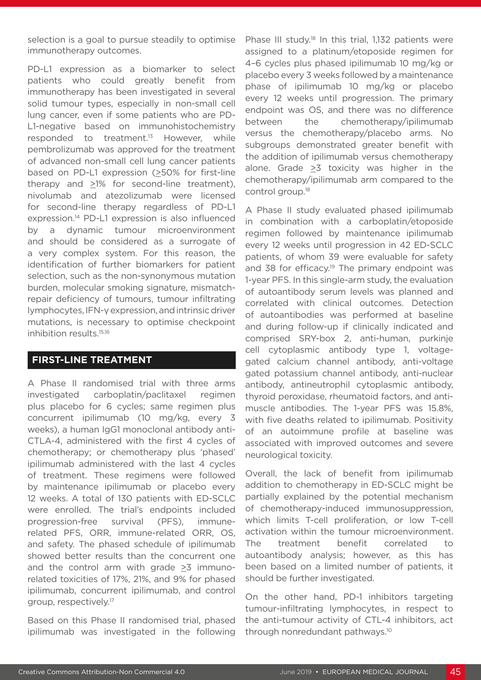selection is a goal to pursue steadily to optimise immunotherapy outcomes.

PD-L1 expression as a biomarker to select patients who could greatly benefit from immunotherapy has been investigated in several solid tumour types, especially in non-small cell lung cancer, even if some patients who are PD-L1-negative based on immunohistochemistry responded to treatment.<sup>13</sup> However, while pembrolizumab was approved for the treatment of advanced non-small cell lung cancer patients based on PD-L1 expression (>50% for first-line therapy and >1% for second-line treatment), nivolumab and atezolizumab were licensed for second-line therapy regardless of PD-L1 expression.14 PD-L1 expression is also influenced by a dynamic tumour microenvironment and should be considered as a surrogate of a very complex system. For this reason, the identification of further biomarkers for patient selection, such as the non-synonymous mutation burden, molecular smoking signature, mismatchrepair deficiency of tumours, tumour infiltrating lymphocytes, IFN-γ expression, and intrinsic driver mutations, is necessary to optimise checkpoint inhibition results.15,16

#### **FIRST-LINE TREATMENT**

A Phase II randomised trial with three arms investigated carboplatin/paclitaxel regimen plus placebo for 6 cycles; same regimen plus concurrent ipilimumab (10 mg/kg, every 3 weeks), a human IgG1 monoclonal antibody anti-CTLA-4, administered with the first 4 cycles of chemotherapy; or chemotherapy plus 'phased' ipilimumab administered with the last 4 cycles of treatment. These regimens were followed by maintenance ipilimumab or placebo every 12 weeks. A total of 130 patients with ED-SCLC were enrolled. The trial's endpoints included progression-free survival (PFS), immunerelated PFS, ORR, immune-related ORR, OS, and safety. The phased schedule of ipilimumab showed better results than the concurrent one and the control arm with grade  $\geq$ 3 immunorelated toxicities of 17%, 21%, and 9% for phased ipilimumab, concurrent ipilimumab, and control group, respectively.17

Based on this Phase II randomised trial, phased ipilimumab was investigated in the following

Phase III study.<sup>18</sup> In this trial, 1,132 patients were assigned to a platinum/etoposide regimen for 4–6 cycles plus phased ipilimumab 10 mg/kg or placebo every 3 weeks followed by a maintenance phase of ipilimumab 10 mg/kg or placebo every 12 weeks until progression. The primary endpoint was OS, and there was no difference between the chemotherapy/ipilimumab versus the chemotherapy/placebo arms. No subgroups demonstrated greater benefit with the addition of ipilimumab versus chemotherapy alone. Grade  $\geq$ 3 toxicity was higher in the chemotherapy/ipilimumab arm compared to the control group.<sup>18</sup>

A Phase II study evaluated phased ipilimumab in combination with a carboplatin/etoposide regimen followed by maintenance ipilimumab every 12 weeks until progression in 42 ED-SCLC patients, of whom 39 were evaluable for safety and 38 for efficacy.<sup>19</sup> The primary endpoint was 1-year PFS. In this single-arm study, the evaluation of autoantibody serum levels was planned and correlated with clinical outcomes. Detection of autoantibodies was performed at baseline and during follow-up if clinically indicated and comprised SRY-box 2, anti-human, purkinje cell cytoplasmic antibody type 1, voltagegated calcium channel antibody, anti-voltage gated potassium channel antibody, anti-nuclear antibody, antineutrophil cytoplasmic antibody, thyroid peroxidase, rheumatoid factors, and antimuscle antibodies. The 1-year PFS was 15.8%, with five deaths related to ipilimumab. Positivity of an autoimmune profile at baseline was associated with improved outcomes and severe neurological toxicity.

Overall, the lack of benefit from ipilimumab addition to chemotherapy in ED-SCLC might be partially explained by the potential mechanism of chemotherapy-induced immunosuppression, which limits T-cell proliferation, or low T-cell activation within the tumour microenvironment. The treatment benefit correlated to autoantibody analysis; however, as this has been based on a limited number of patients, it should be further investigated.

On the other hand, PD-1 inhibitors targeting tumour-infiltrating lymphocytes, in respect to the anti-tumour activity of CTL-4 inhibitors, act through nonredundant pathways.10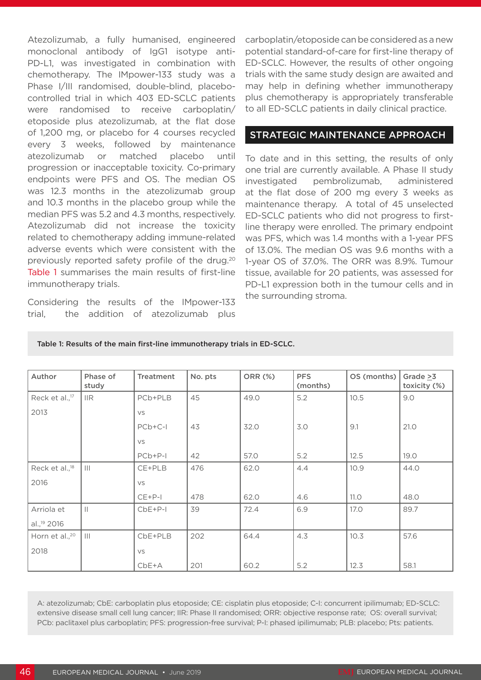Atezolizumab, a fully humanised, engineered monoclonal antibody of IgG1 isotype anti-PD-L1, was investigated in combination with chemotherapy. The IMpower-133 study was a Phase I/III randomised, double-blind, placebocontrolled trial in which 403 ED-SCLC patients were randomised to receive carboplatin/ etoposide plus atezolizumab, at the flat dose of 1,200 mg, or placebo for 4 courses recycled every 3 weeks, followed by maintenance atezolizumab or matched placebo until progression or inacceptable toxicity. Co-primary endpoints were PFS and OS. The median OS was 12.3 months in the atezolizumab group and 10.3 months in the placebo group while the median PFS was 5.2 and 4.3 months, respectively. Atezolizumab did not increase the toxicity related to chemotherapy adding immune-related adverse events which were consistent with the previously reported safety profile of the drug.20 Table 1 summarises the main results of first-line immunotherapy trials.

Considering the results of the IMpower-133 trial, the addition of atezolizumab plus carboplatin/etoposide can be considered as a new potential standard-of-care for first-line therapy of ED-SCLC. However, the results of other ongoing trials with the same study design are awaited and may help in defining whether immunotherapy plus chemotherapy is appropriately transferable to all ED-SCLC patients in daily clinical practice.

#### STRATEGIC MAINTENANCE APPROACH

To date and in this setting, the results of only one trial are currently available. A Phase II study investigated pembrolizumab, administered at the flat dose of 200 mg every 3 weeks as maintenance therapy. A total of 45 unselected ED-SCLC patients who did not progress to firstline therapy were enrolled. The primary endpoint was PFS, which was 1.4 months with a 1-year PFS of 13.0%. The median OS was 9.6 months with a 1-year OS of 37.0%. The ORR was 8.9%. Tumour tissue, available for 20 patients, was assessed for PD-L1 expression both in the tumour cells and in the surrounding stroma.

| Author                     | Phase of<br>study | <b>Treatment</b> | No. pts | <b>ORR (%)</b> | <b>PFS</b><br>(months) | OS (months) | Grade $\geq 3$<br>toxicity (%) |
|----------------------------|-------------------|------------------|---------|----------------|------------------------|-------------|--------------------------------|
| Reck et al., <sup>17</sup> | $\mathsf{IIR}$    | PCb+PLB          | 45      | 49.0           | 5.2                    | 10.5        | 9.0                            |
| 2013                       |                   | VS               |         |                |                        |             |                                |
|                            |                   | PCb+C-I          | 43      | 32.0           | 3.0                    | 9.1         | 21.0                           |
|                            |                   | VS               |         |                |                        |             |                                |
|                            |                   | $PCb+P-I$        | 42      | 57.0           | 5.2                    | 12.5        | 19.0                           |
| Reck et al., <sup>18</sup> | $\vert\vert\vert$ | CE+PLB           | 476     | 62.0           | 4.4                    | 10.9        | 44.0                           |
| 2016                       |                   | VS               |         |                |                        |             |                                |
|                            |                   | $CE+P-1$         | 478     | 62.0           | 4.6                    | 11.0        | 48.0                           |
| Arriola et                 | $\vert\vert$      | $CbE+P-1$        | 39      | 72.4           | 6.9                    | 17.0        | 89.7                           |
| al., <sup>19</sup> 2016    |                   |                  |         |                |                        |             |                                |
| Horn et al., <sup>20</sup> | $\mathbf{III}$    | CbE+PLB          | 202     | 64.4           | 4.3                    | 10.3        | 57.6                           |
| 2018                       |                   | VS               |         |                |                        |             |                                |
|                            |                   | $CbE+A$          | 201     | 60.2           | 5.2                    | 12.3        | 58.1                           |

Table 1: Results of the main first-line immunotherapy trials in ED-SCLC.

A: atezolizumab; CbE: carboplatin plus etoposide; CE: cisplatin plus etoposide; C-I: concurrent ipilimumab; ED-SCLC: extensive disease small cell lung cancer; IIR: Phase II randomised; ORR: objective response rate; OS: overall survival; PCb: paclitaxel plus carboplatin; PFS: progression-free survival; P-I: phased ipilimumab; PLB: placebo; Pts: patients.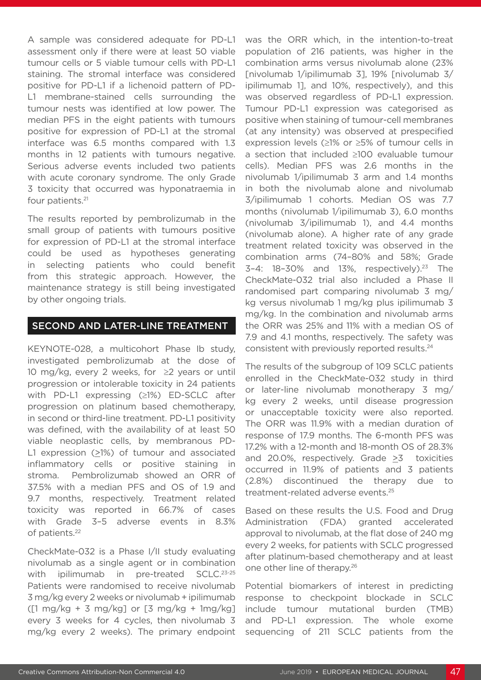A sample was considered adequate for PD-L1 assessment only if there were at least 50 viable tumour cells or 5 viable tumour cells with PD-L1 staining. The stromal interface was considered positive for PD-L1 if a lichenoid pattern of PD-L1 membrane-stained cells surrounding the tumour nests was identified at low power. The median PFS in the eight patients with tumours positive for expression of PD-L1 at the stromal interface was 6.5 months compared with 1.3 months in 12 patients with tumours negative. Serious adverse events included two patients with acute coronary syndrome. The only Grade 3 toxicity that occurred was hyponatraemia in four patients.21

The results reported by pembrolizumab in the small group of patients with tumours positive for expression of PD-L1 at the stromal interface could be used as hypotheses generating in selecting patients who could benefit from this strategic approach. However, the maintenance strategy is still being investigated by other ongoing trials.

### SECOND AND LATER-LINE TREATMENT

KEYNOTE-028, a multicohort Phase Ib study, investigated pembrolizumab at the dose of 10 mg/kg, every 2 weeks, for ≥2 years or until progression or intolerable toxicity in 24 patients with PD-L1 expressing (≥1%) ED-SCLC after progression on platinum based chemotherapy, in second or third-line treatment. PD-L1 positivity was defined, with the availability of at least 50 viable neoplastic cells, by membranous PD-L1 expression (>1%) of tumour and associated inflammatory cells or positive staining in stroma. Pembrolizumab showed an ORR of 37.5% with a median PFS and OS of 1.9 and 9.7 months, respectively. Treatment related toxicity was reported in 66.7% of cases with Grade 3–5 adverse events in 8.3% of patients.22

CheckMate-032 is a Phase I/II study evaluating nivolumab as a single agent or in combination with ipilimumab in pre-treated SCLC.<sup>23-25</sup> Patients were randomised to receive nivolumab 3 mg/kg every 2 weeks or nivolumab + ipilimumab  $(1 \text{ mg/kg} + 3 \text{ mg/kg})$  or  $[3 \text{ mg/kg} + 1 \text{mg/kg}]$ every 3 weeks for 4 cycles, then nivolumab 3 mg/kg every 2 weeks). The primary endpoint was the ORR which, in the intention-to-treat population of 216 patients, was higher in the combination arms versus nivolumab alone (23% [nivolumab 1/ipilimumab 3], 19% [nivolumab 3/ ipilimumab 1], and 10%, respectively), and this was observed regardless of PD-L1 expression. Tumour PD-L1 expression was categorised as positive when staining of tumour-cell membranes (at any intensity) was observed at prespecified expression levels (≥1% or ≥5% of tumour cells in a section that included ≥100 evaluable tumour cells). Median PFS was 2.6 months in the nivolumab 1/ipilimumab 3 arm and 1.4 months in both the nivolumab alone and nivolumab 3/ipilimumab 1 cohorts. Median OS was 7.7 months (nivolumab 1/ipilimumab 3), 6.0 months (nivolumab 3/ipilimumab 1), and 4.4 months (nivolumab alone). A higher rate of any grade treatment related toxicity was observed in the combination arms (74–80% and 58%; Grade  $3-4$ :  $18-30\%$  and  $13\%$ , respectively).<sup>23</sup> The CheckMate-032 trial also included a Phase II randomised part comparing nivolumab 3 mg/ kg versus nivolumab 1 mg/kg plus ipilimumab 3 mg/kg. In the combination and nivolumab arms the ORR was 25% and 11% with a median OS of 7.9 and 4.1 months, respectively. The safety was consistent with previously reported results.24

The results of the subgroup of 109 SCLC patients enrolled in the CheckMate-032 study in third or later-line nivolumab monotherapy 3 mg/ kg every 2 weeks, until disease progression or unacceptable toxicity were also reported. The ORR was 11.9% with a median duration of response of 17.9 months. The 6-month PFS was 17.2% with a 12-month and 18-month OS of 28.3% and 20.0%, respectively. Grade  $\geq 3$  toxicities occurred in 11.9% of patients and 3 patients (2.8%) discontinued the therapy due to treatment-related adverse events.25

Based on these results the U.S. Food and Drug Administration (FDA) granted accelerated approval to nivolumab, at the flat dose of 240 mg every 2 weeks, for patients with SCLC progressed after platinum-based chemotherapy and at least one other line of therapy.26

Potential biomarkers of interest in predicting response to checkpoint blockade in SCLC include tumour mutational burden (TMB) and PD-L1 expression. The whole exome sequencing of 211 SCLC patients from the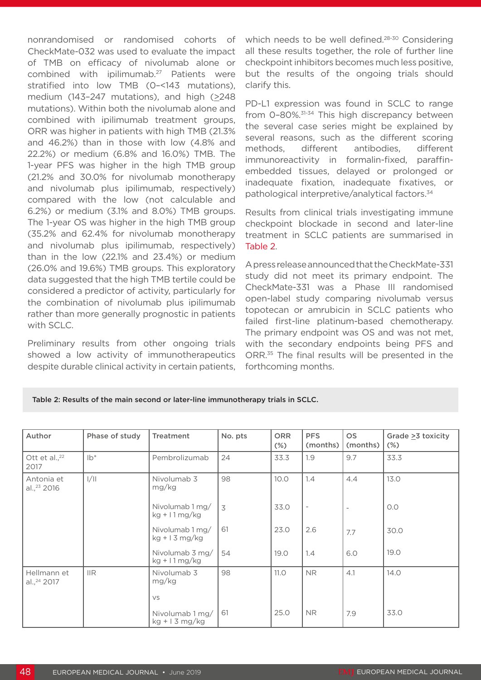nonrandomised or randomised cohorts of CheckMate-032 was used to evaluate the impact of TMB on efficacy of nivolumab alone or combined with ipilimumab.27 Patients were stratified into low TMB (0–<143 mutations), medium (143–247 mutations), and high (>248 mutations). Within both the nivolumab alone and combined with ipilimumab treatment groups, ORR was higher in patients with high TMB (21.3% and 46.2%) than in those with low (4.8% and 22.2%) or medium (6.8% and 16.0%) TMB. The 1-year PFS was higher in the high TMB group (21.2% and 30.0% for nivolumab monotherapy and nivolumab plus ipilimumab, respectively) compared with the low (not calculable and 6.2%) or medium (3.1% and 8.0%) TMB groups. The 1-year OS was higher in the high TMB group (35.2% and 62.4% for nivolumab monotherapy and nivolumab plus ipilimumab, respectively) than in the low (22.1% and 23.4%) or medium (26.0% and 19.6%) TMB groups. This exploratory data suggested that the high TMB tertile could be considered a predictor of activity, particularly for the combination of nivolumab plus ipilimumab rather than more generally prognostic in patients with SCLC.

Preliminary results from other ongoing trials showed a low activity of immunotherapeutics despite durable clinical activity in certain patients, which needs to be well defined.<sup>28-30</sup> Considering all these results together, the role of further line checkpoint inhibitors becomes much less positive, but the results of the ongoing trials should clarify this.

PD-L1 expression was found in SCLC to range from 0–80%.31-34 This high discrepancy between the several case series might be explained by several reasons, such as the different scoring methods, different antibodies, different immunoreactivity in formalin-fixed, paraffinembedded tissues, delayed or prolonged or inadequate fixation, inadequate fixatives, or pathological interpretive/analytical factors.34

Results from clinical trials investigating immune checkpoint blockade in second and later-line treatment in SCLC patients are summarised in Table 2.

A press release announced that the CheckMate-331 study did not meet its primary endpoint. The CheckMate-331 was a Phase III randomised open-label study comparing nivolumab versus topotecan or amrubicin in SCLC patients who failed first-line platinum-based chemotherapy. The primary endpoint was OS and was not met, with the secondary endpoints being PFS and ORR.<sup>35</sup> The final results will be presented in the forthcoming months.

|  | Table 2: Results of the main second or later-line immunotherapy trials in SCLC. |
|--|---------------------------------------------------------------------------------|
|--|---------------------------------------------------------------------------------|

| Author                                 | Phase of study | Treatment                                   | No. pts        | <b>ORR</b><br>$(\%)$ | <b>PFS</b><br>(months)   | <b>OS</b><br>(months)    | Grade $\geq$ 3 toxicity<br>$(\%)$ |
|----------------------------------------|----------------|---------------------------------------------|----------------|----------------------|--------------------------|--------------------------|-----------------------------------|
| Ott et al., <sup>22</sup><br>2017      | $lb*$          | Pembrolizumab                               | 24             | 33.3                 | 1.9                      | 9.7                      | 33.3                              |
| Antonia et<br>al., <sup>23</sup> 2016  | 1/11           | Nivolumab 3<br>mg/kg                        | 98             | 10.0                 | 1.4                      | 4.4                      | 13.0                              |
|                                        |                | Nivolumab 1 mg/<br>$kg + 11 \,\text{mg/kg}$ | $\overline{3}$ | 33.0                 | $\overline{\phantom{a}}$ | $\overline{\phantom{a}}$ | O.O                               |
|                                        |                | Nivolumab 1 mg/<br>$kg + 13 mg/kg$          | 61             | 23.0                 | 2.6                      | 7.7                      | 30.0                              |
|                                        |                | Nivolumab 3 mg/<br>$kg + 11 \,\text{mg/kg}$ | 54             | 19.0                 | 1.4                      | 6.0                      | 19.0                              |
| Hellmann et<br>al., <sup>24</sup> 2017 | $\mathsf{IIR}$ | Nivolumab 3<br>mg/kg                        | 98             | 11.0                 | NR.                      | 4.1                      | 14.0                              |
|                                        |                | VS                                          |                |                      |                          |                          |                                   |
|                                        |                | Nivolumab 1 mg/<br>$kg + 13 mg/kg$          | 61             | 25.0                 | NR.                      | 7.9                      | 33.0                              |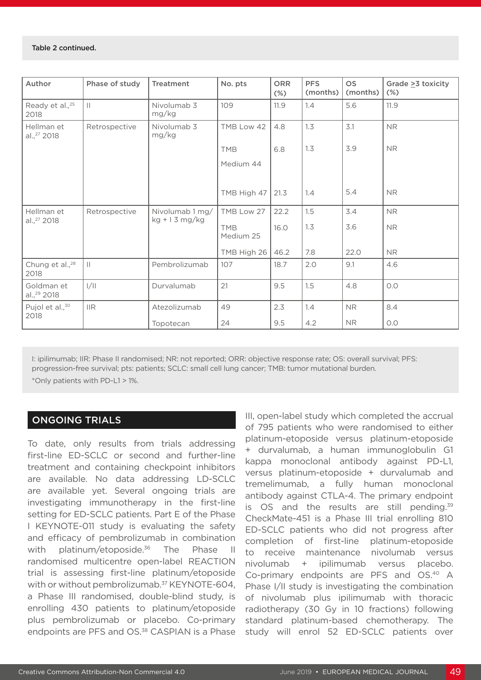| Author                                | Phase of study | <b>Treatment</b>     | No. pts                 | <b>ORR</b><br>$(\%)$ | <b>PFS</b><br>(months) | <b>OS</b><br>(months) | Grade $\geq 3$ toxicity<br>$(\%)$ |
|---------------------------------------|----------------|----------------------|-------------------------|----------------------|------------------------|-----------------------|-----------------------------------|
| Ready et al., <sup>25</sup><br>2018   | $\mathbf{  }$  | Nivolumab 3<br>mg/kg | 109                     | 11.9                 | 1.4                    | 5.6                   | 11.9                              |
| Hellman et<br>al., <sup>27</sup> 2018 | Retrospective  | Nivolumab 3<br>mg/kg | TMB Low 42              | 4.8                  | 1.3                    | 3.1                   | <b>NR</b>                         |
|                                       |                |                      | <b>TMB</b>              | 6.8                  | 1.3                    | 3.9                   | <b>NR</b>                         |
|                                       |                |                      | Medium 44               |                      |                        |                       |                                   |
|                                       |                |                      |                         |                      |                        |                       |                                   |
|                                       |                |                      | TMB High 47             | 21.3                 | 1.4                    | 5.4                   | <b>NR</b>                         |
| Hellman et                            | Retrospective  | Nivolumab 1 mg/      | TMB Low 27              | 22.2                 | 1.5                    | 3.4                   | ${\sf NR}$                        |
| al., <sup>27</sup> 2018               |                | $kg + 13 mg/kg$      | <b>TMB</b><br>Medium 25 | 16.0                 | 1.3                    | 3.6                   | <b>NR</b>                         |
|                                       |                |                      | TMB High 26             | 46.2                 | 7.8                    | 22.0                  | <b>NR</b>                         |
| Chung et al., <sup>28</sup><br>2018   | $\mathbf{  }$  | Pembrolizumab        | 107                     | 18.7                 | 2.0                    | 9.1                   | 4.6                               |
| Goldman et<br>al., <sup>29</sup> 2018 | 1/11           | Durvalumab           | 21                      | 9.5                  | 1.5                    | 4.8                   | O.O                               |
| Pujol et al., <sup>30</sup>           | <b>IIR</b>     | Atezolizumab         | 49                      | 2.3                  | 1.4                    | <b>NR</b>             | 8.4                               |
| 2018                                  |                | Topotecan            | 24                      | 9.5                  | 4.2                    | <b>NR</b>             | O.O                               |

I: ipilimumab; IIR: Phase II randomised; NR: not reported; ORR: objective response rate; OS: overall survival; PFS: progression-free survival; pts: patients; SCLC: small cell lung cancer; TMB: tumor mutational burden. \*Only patients with PD-L1 > 1%.

### ONGOING TRIALS

To date, only results from trials addressing first-line ED-SCLC or second and further-line treatment and containing checkpoint inhibitors are available. No data addressing LD-SCLC are available yet. Several ongoing trials are investigating immunotherapy in the first-line setting for ED-SCLC patients. Part E of the Phase I KEYNOTE-011 study is evaluating the safety and efficacy of pembrolizumab in combination with platinum/etoposide.<sup>36</sup> The Phase II randomised multicentre open-label REACTION trial is assessing first-line platinum/etoposide with or without pembrolizumab.<sup>37</sup> KEYNOTE-604, a Phase III randomised, double-blind study, is enrolling 430 patients to platinum/etoposide plus pembrolizumab or placebo. Co-primary endpoints are PFS and OS.<sup>38</sup> CASPIAN is a Phase

III, open-label study which completed the accrual of 795 patients who were randomised to either platinum-etoposide versus platinum-etoposide + durvalumab, a human immunoglobulin G1 kappa monoclonal antibody against PD-L1, versus platinum-etoposide + durvalumab and tremelimumab, a fully human monoclonal antibody against CTLA-4. The primary endpoint is  $OS$  and the results are still pending.<sup>39</sup> CheckMate-451 is a Phase III trial enrolling 810 ED-SCLC patients who did not progress after completion of first-line platinum-etoposide to receive maintenance nivolumab versus nivolumab + ipilimumab versus placebo. Co-primary endpoints are PFS and OS.40 A Phase I/II study is investigating the combination of nivolumab plus ipilimumab with thoracic radiotherapy (30 Gy in 10 fractions) following standard platinum-based chemotherapy. The study will enrol 52 ED-SCLC patients over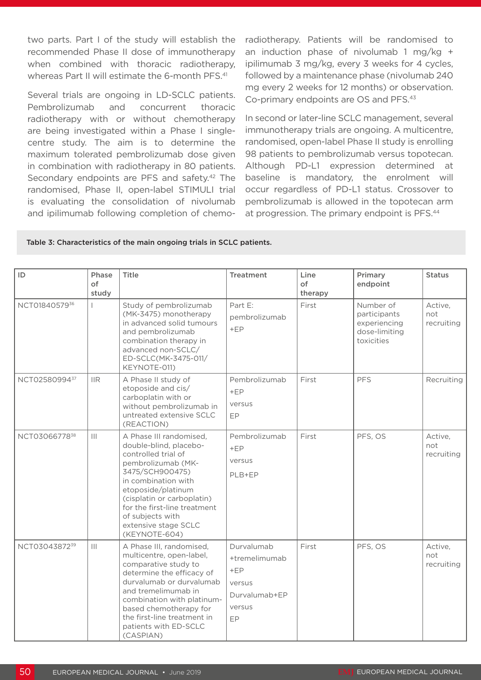two parts. Part I of the study will establish the recommended Phase II dose of immunotherapy when combined with thoracic radiotherapy, whereas Part II will estimate the 6-month PFS.<sup>41</sup>

Several trials are ongoing in LD-SCLC patients. Pembrolizumab and concurrent thoracic radiotherapy with or without chemotherapy are being investigated within a Phase I singlecentre study. The aim is to determine the maximum tolerated pembrolizumab dose given in combination with radiotherapy in 80 patients. Secondary endpoints are PFS and safety.<sup>42</sup> The randomised, Phase II, open-label STIMULI trial is evaluating the consolidation of nivolumab and ipilimumab following completion of chemoradiotherapy. Patients will be randomised to an induction phase of nivolumab 1 mg/kg  $+$ ipilimumab 3 mg/kg, every 3 weeks for 4 cycles, followed by a maintenance phase (nivolumab 240 mg every 2 weeks for 12 months) or observation. Co-primary endpoints are OS and PFS.43

In second or later-line SCLC management, several immunotherapy trials are ongoing. A multicentre, randomised, open-label Phase II study is enrolling 98 patients to pembrolizumab versus topotecan. Although PD-L1 expression determined at baseline is mandatory, the enrolment will occur regardless of PD-L1 status. Crossover to pembrolizumab is allowed in the topotecan arm at progression. The primary endpoint is PFS.44

| ID            | Phase<br>$\circ$ f<br>study | <b>Title</b>                                                                                                                                                                                                                                                                              | <b>Treatment</b>                                                                | Line<br>of<br>therapy | Primary<br>endpoint                                                      | <b>Status</b>                |
|---------------|-----------------------------|-------------------------------------------------------------------------------------------------------------------------------------------------------------------------------------------------------------------------------------------------------------------------------------------|---------------------------------------------------------------------------------|-----------------------|--------------------------------------------------------------------------|------------------------------|
| NCT0184057936 |                             | Study of pembrolizumab<br>(MK-3475) monotherapy<br>in advanced solid tumours<br>and pembrolizumab<br>combination therapy in<br>advanced non-SCLC/<br>ED-SCLC(MK-3475-011/<br>KEYNOTE-011)                                                                                                 | Part E:<br>pembrolizumab<br>$+EP$                                               | First                 | Number of<br>participants<br>experiencing<br>dose-limiting<br>toxicities | Active,<br>not<br>recruiting |
| NCT0258099437 | $\mathsf{IIR}$              | A Phase II study of<br>etoposide and cis/<br>carboplatin with or<br>without pembrolizumab in<br>untreated extensive SCLC<br>(REACTION)                                                                                                                                                    | Pembrolizumab<br>$+EP$<br>versus<br>EP                                          | First                 | <b>PFS</b>                                                               | Recruiting                   |
| NCT0306677838 |                             | A Phase III randomised,<br>double-blind, placebo-<br>controlled trial of<br>pembrolizumab (MK-<br>3475/SCH900475)<br>in combination with<br>etoposide/platinum<br>(cisplatin or carboplatin)<br>for the first-line treatment<br>of subjects with<br>extensive stage SCLC<br>(KEYNOTE-604) | Pembrolizumab<br>$+EP$<br>versus<br>PLB+EP                                      | First                 | PFS, OS                                                                  | Active,<br>not<br>recruiting |
| NCT0304387239 | $\mathbf{III}$              | A Phase III, randomised,<br>multicentre, open-label,<br>comparative study to<br>determine the efficacy of<br>durvalumab or durvalumab<br>and tremelimumab in<br>combination with platinum-<br>based chemotherapy for<br>the first-line treatment in<br>patients with ED-SCLC<br>(CASPIAN) | Durvalumab<br>+tremelimumab<br>$+EP$<br>versus<br>Durvalumab+EP<br>versus<br>EP | First                 | PFS, OS                                                                  | Active,<br>not<br>recruiting |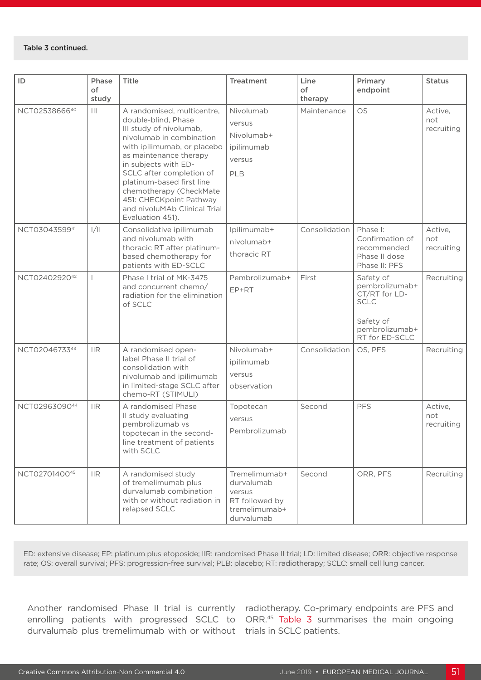#### Table 3 continued.

| ID            | Phase<br>of    | Title                                                                                                                                                                                                                                                                                                                                                        | <b>Treatment</b>                                                                       | Line<br>of    | Primary<br>endpoint                                                                                          | <b>Status</b>                |
|---------------|----------------|--------------------------------------------------------------------------------------------------------------------------------------------------------------------------------------------------------------------------------------------------------------------------------------------------------------------------------------------------------------|----------------------------------------------------------------------------------------|---------------|--------------------------------------------------------------------------------------------------------------|------------------------------|
|               | study          |                                                                                                                                                                                                                                                                                                                                                              |                                                                                        | therapy       |                                                                                                              |                              |
| NCT0253866640 | $\mathbf{III}$ | A randomised, multicentre,<br>double-blind, Phase<br>III study of nivolumab,<br>nivolumab in combination<br>with ipilimumab, or placebo<br>as maintenance therapy<br>in subjects with ED-<br>SCLC after completion of<br>platinum-based first line<br>chemotherapy (CheckMate<br>451: CHECKpoint Pathway<br>and nivoluMAb Clinical Trial<br>Evaluation 451). | Nivolumab<br>versus<br>Nivolumab+<br>ipilimumab<br>versus<br>PLB                       | Maintenance   | <b>OS</b>                                                                                                    | Active,<br>not<br>recruiting |
| NCT0304359941 | 1/11           | Consolidative ipilimumab<br>and nivolumab with<br>thoracic RT after platinum-<br>based chemotherapy for<br>patients with ED-SCLC                                                                                                                                                                                                                             | Ipilimumab+<br>nivolumab+<br>thoracic RT                                               | Consolidation | Phase I:<br>Confirmation of<br>recommended<br>Phase II dose<br>Phase II: PFS                                 | Active,<br>not<br>recruiting |
| NCT0240292042 |                | Phase I trial of MK-3475<br>and concurrent chemo/<br>radiation for the elimination<br>of SCLC                                                                                                                                                                                                                                                                | Pembrolizumab+<br>EP+RT                                                                | First         | Safety of<br>pembrolizumab+<br>CT/RT for LD-<br><b>SCLC</b><br>Safety of<br>pembrolizumab+<br>RT for ED-SCLC | Recruiting                   |
| NCT0204673343 | $\mathsf{IIR}$ | A randomised open-<br>label Phase II trial of<br>consolidation with<br>nivolumab and ipilimumab<br>in limited-stage SCLC after<br>chemo-RT (STIMULI)                                                                                                                                                                                                         | Nivolumab+<br>ipilimumab<br>versus<br>observation                                      | Consolidation | OS, PFS                                                                                                      | Recruiting                   |
| NCT0296309044 | $\mathsf{IIR}$ | A randomised Phase<br>Il study evaluating<br>pembrolizumab vs<br>topotecan in the second-<br>line treatment of patients<br>with SCLC                                                                                                                                                                                                                         | Topotecan<br>versus<br>Pembrolizumab                                                   | Second        | <b>PFS</b>                                                                                                   | Active,<br>not<br>recruiting |
| NCT0270140045 | $\mathsf{IIR}$ | A randomised study<br>of tremelimumab plus<br>durvalumab combination<br>with or without radiation in<br>relapsed SCLC                                                                                                                                                                                                                                        | Tremelimumab+<br>durvalumab<br>versus<br>RT followed by<br>tremelimumab+<br>durvalumab | Second        | ORR, PFS                                                                                                     | Recruiting                   |

ED: extensive disease; EP: platinum plus etoposide; IIR: randomised Phase II trial; LD: limited disease; ORR: objective response rate; OS: overall survival; PFS: progression-free survival; PLB: placebo; RT: radiotherapy; SCLC: small cell lung cancer.

durvalumab plus tremelimumab with or without trials in SCLC patients.

Another randomised Phase II trial is currently radiotherapy. Co-primary endpoints are PFS and enrolling patients with progressed SCLC to ORR.<sup>45</sup> Table 3 summarises the main ongoing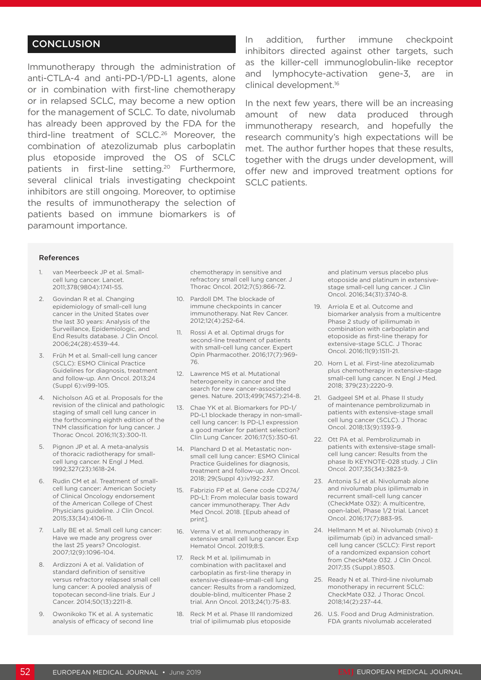# **CONCLUSION**

Immunotherapy through the administration of anti-CTLA-4 and anti-PD-1/PD-L1 agents, alone or in combination with first-line chemotherapy or in relapsed SCLC, may become a new option for the management of SCLC. To date, nivolumab has already been approved by the FDA for the third-line treatment of SCLC.<sup>26</sup> Moreover, the combination of atezolizumab plus carboplatin plus etoposide improved the OS of SCLC patients in first-line setting.<sup>20</sup> Furthermore, several clinical trials investigating checkpoint inhibitors are still ongoing. Moreover, to optimise the results of immunotherapy the selection of patients based on immune biomarkers is of paramount importance.

In addition, further immune checkpoint inhibitors directed against other targets, such as the killer-cell immunoglobulin-like receptor and lymphocyte-activation gene-3, are in clinical development.16

In the next few years, there will be an increasing amount of new data produced through immunotherapy research, and hopefully the research community's high expectations will be met. The author further hopes that these results, together with the drugs under development, will offer new and improved treatment options for SCLC patients.

#### References

- 1. van Meerbeeck JP et al. Smallcell lung cancer. Lancet. 2011;378(9804):1741-55.
- 2. Govindan R et al. Changing epidemiology of small-cell lung cancer in the United States over the last 30 years: Analysis of the Surveillance, Epidemiologic, and End Results database. J Clin Oncol. 2006;24(28):4539-44.
- 3. Früh M et al. Small-cell lung cancer (SCLC): ESMO Clinical Practice Guidelines for diagnosis, treatment and follow-up. Ann Oncol. 2013;24 (Suppl 6):vi99-105.
- 4. Nicholson AG et al. Proposals for the revision of the clinical and pathologic staging of small cell lung cancer in the forthcoming eighth edition of the TNM classification for lung cancer. J Thorac Oncol. 2016;11(3):300-11.
- 5. Pignon JP et al. A meta-analysis of thoracic radiotherapy for smallcell lung cancer. N Engl J Med. 1992;327(23):1618-24.
- 6. Rudin CM et al. Treatment of smallcell lung cancer: American Society of Clinical Oncology endorsement of the American College of Chest Physicians guideline. J Clin Oncol. 2015;33(34):4106-11.
- 7. Lally BE et al. Small cell lung cancer: Have we made any progress over the last 25 years? Oncologist. 2007;12(9):1096-104.
- 8. Ardizzoni A et al. Validation of standard definition of sensitive versus refractory relapsed small cell lung cancer: A pooled analysis of topotecan second-line trials. Eur J Cancer. 2014;50(13):2211-8.
- 9. Owonikoko TK et al. A systematic analysis of efficacy of second line

chemotherapy in sensitive and refractory small cell lung cancer. J Thorac Oncol. 2012;7(5):866-72.

- 10. Pardoll DM. The blockade of immune checkpoints in cancer immunotherapy. Nat Rev Cancer. 2012;12(4):252-64.
- 11. Rossi A et al. Optimal drugs for second-line treatment of patients with small-cell lung cancer. Expert Opin Pharmacother. 2016;17(7):969- 76.
- 12. Lawrence MS et al. Mutational heterogeneity in cancer and the search for new cancer-associated genes. Nature. 2013;499(7457):214-8.
- 13. Chae YK et al. Biomarkers for PD-1/ PD-L1 blockade therapy in non-smallcell lung cancer: Is PD-L1 expression a good marker for patient selection? Clin Lung Cancer. 2016;17(5):350-61.
- 14. Planchard D et al. Metastatic nonsmall cell lung cancer: ESMO Clinical Practice Guidelines for diagnosis, treatment and follow-up. Ann Oncol. 2018; 29(Suppl 4):iv192-237.
- 15. Fabrizio FP et al. Gene code CD274/ PD-L1: From molecular basis toward cancer immunotherapy. Ther Adv Med Oncol. 2018. [Epub ahead of print].
- 16. Verma V et al. Immunotherapy in extensive small cell lung cancer. Exp Hematol Oncol. 2019;8:5.
- 17. Reck M et al. Ipilimumab in combination with paclitaxel and carboplatin as first-line therapy in extensive-disease-small-cell lung cancer: Results from a randomized, double-blind, multicenter Phase 2 trial. Ann Oncol. 2013;24(1):75-83.
- 18. Reck M et al. Phase III randomized trial of ipilimumab plus etoposide

and platinum versus placebo plus etoposide and platinum in extensivestage small-cell lung cancer. J Clin Oncol. 2016;34(31):3740-8.

- 19. Arriola E et al. Outcome and biomarker analysis from a multicentre Phase 2 study of ipilimumab in combination with carboplatin and etoposide as first-line therapy for extensive-stage SCLC. J Thorac Oncol. 2016;11(9):1511-21.
- 20. Horn L et al. First-line atezolizumab plus chemotherapy in extensive-stage small-cell lung cancer. N Engl J Med. 2018; 379(23):2220-9.
- 21. Gadgeel SM et al. Phase II study of maintenance pembrolizumab in patients with extensive-stage small cell lung cancer (SCLC). J Thorac Oncol. 2018;13(9):1393-9.
- 22. Ott PA et al. Pembrolizumab in patients with extensive-stage smallcell lung cancer: Results from the phase Ib KEYNOTE-028 study. J Clin Oncol. 2017;35(34):3823-9.
- 23. Antonia SJ et al. Nivolumab alone and nivolumab plus ipilimumab in recurrent small-cell lung cancer (CheckMate 032): A multicentre, open-label, Phase 1/2 trial. Lancet Oncol. 2016;17(7):883-95.
- 24. Hellmann M et al. Nivolumab (nivo) ± ipilimumab (ipi) in advanced smallcell lung cancer (SCLC): First report of a randomized expansion cohort from CheckMate 032. J Clin Oncol. 2017;35 (Suppl.):8503.
- 25. Ready N et al. Third-line nivolumab monotherapy in recurrent SCLC: CheckMate 032. J Thorac Oncol. 2018;14(2):237-44.
- 26. U.S. Food and Drug Administration. FDA grants nivolumab accelerated